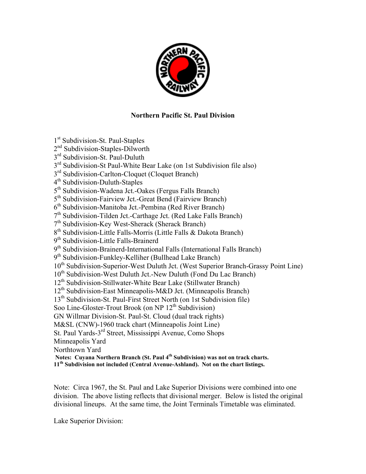

## **Northern Pacific St. Paul Division**

1<sup>st</sup> Subdivision-St. Paul-Staples 2<sup>nd</sup> Subdivision-Staples-Dilworth 3<sup>rd</sup> Subdivision-St. Paul-Duluth 3<sup>rd</sup> Subdivision-St Paul-White Bear Lake (on 1st Subdivision file also) 3<sup>rd</sup> Subdivision-Carlton-Cloquet (Cloquet Branch) 4th Subdivision-Duluth-Staples 5<sup>th</sup> Subdivision-Wadena Jct.-Oakes (Fergus Falls Branch) 5<sup>th</sup> Subdivision-Fairview Jct.-Great Bend (Fairview Branch)  $6<sup>th</sup>$  Subdivision-Manitoba Jct.-Pembina (Red River Branch) 7<sup>th</sup> Subdivision-Tilden Jct.-Carthage Jct. (Red Lake Falls Branch) 7th Subdivision-Key West-Sherack (Sherack Branch) 8<sup>th</sup> Subdivision-Little Falls-Morris (Little Falls & Dakota Branch) 9<sup>th</sup> Subdivision-Little Falls-Brainerd 9<sup>th</sup> Subdivision-Brainerd-International Falls (International Falls Branch) 9<sup>th</sup> Subdivision-Funkley-Kelliher (Bullhead Lake Branch) 10<sup>th</sup> Subdivision-Superior-West Duluth Jct. (West Superior Branch-Grassy Point Line) 10<sup>th</sup> Subdivision-West Duluth Jct.-New Duluth (Fond Du Lac Branch) 12<sup>th</sup> Subdivision-Stillwater-White Bear Lake (Stillwater Branch) 12<sup>th</sup> Subdivision-East Minneapolis-M&D Jct. (Minneapolis Branch) 13<sup>th</sup> Subdivision-St. Paul-First Street North (on 1st Subdivision file) Soo Line-Gloster-Trout Brook (on NP  $12<sup>th</sup>$  Subdivision) GN Willmar Division-St. Paul-St. Cloud (dual track rights) M&SL (CNW)-1960 track chart (Minneapolis Joint Line) St. Paul Yards-3rd Street, Mississippi Avenue, Como Shops Minneapolis Yard Northtown Yard  **Notes: Cuyana Northern Branch (St. Paul 4th Subdivision) was not on track charts. 11th Subdivision not included (Central Avenue-Ashland). Not on the chart listings.** 

Note: Circa 1967, the St. Paul and Lake Superior Divisions were combined into one division. The above listing reflects that divisional merger. Below is listed the original divisional lineups. At the same time, the Joint Terminals Timetable was eliminated.

Lake Superior Division: